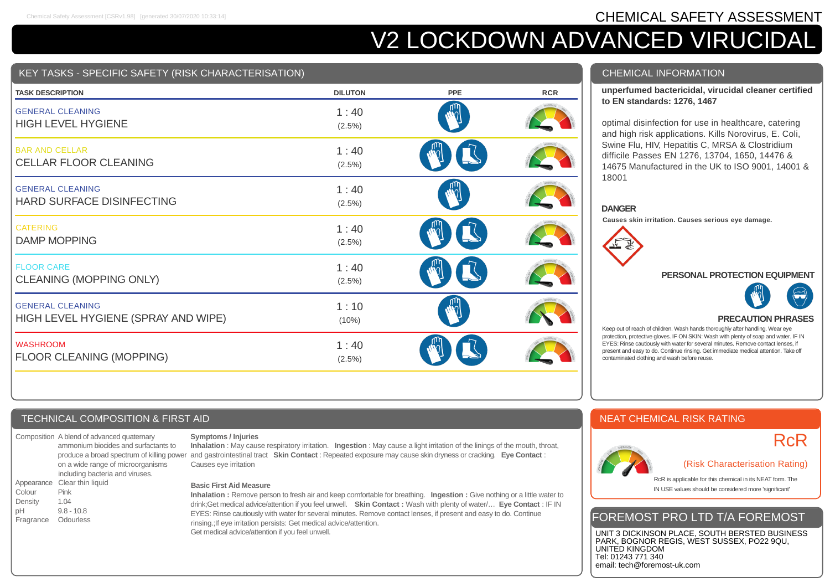# Chemical Safety Assessment [CSRv1.98] [generated 30/07/2020 10:33:14] **CHEMICAL SAFETY ASSESSMENT**

# V2 LOCKDOWN ADVANCED VIRUCIDAL

## KEY TASKS - SPECIFIC SAFETY (RISK CHARACTERISATION)

| <b>TASK DESCRIPTION</b>                                        | <b>DILUTON</b>    | <b>PPE</b> | <b>RCR</b> |
|----------------------------------------------------------------|-------------------|------------|------------|
| <b>GENERAL CLEANING</b><br><b>HIGH LEVEL HYGIENE</b>           | 1:40<br>$(2.5\%)$ |            |            |
| <b>BAR AND CELLAR</b><br><b>CELLAR FLOOR CLEANING</b>          | 1:40<br>$(2.5\%)$ |            |            |
| <b>GENERAL CLEANING</b><br><b>HARD SURFACE DISINFECTING</b>    | 1:40<br>$(2.5\%)$ |            |            |
| <b>CATERING</b><br><b>DAMP MOPPING</b>                         | 1:40<br>$(2.5\%)$ |            |            |
| <b>FLOOR CARE</b><br>CLEANING (MOPPING ONLY)                   | 1:40<br>(2.5%)    |            |            |
| <b>GENERAL CLEANING</b><br>HIGH LEVEL HYGIENE (SPRAY AND WIPE) | 1:10<br>(10%)     |            |            |
| <b>WASHROOM</b><br>FLOOR CLEANING (MOPPING)                    | 1:40<br>$(2.5\%)$ |            |            |

#### CHEMICAL INFORMATION

#### **unperfumed bactericidal, virucidal cleaner certified to EN standards: 1276, 1467**

optimal disinfection for use in healthcare, catering and high risk applications. Kills Norovirus, E. Coli, Swine Flu, HIV, Hepatitis C, MRSA & Clostridium difficile Passes EN 1276, 13704, 1650, 14476 & 14675 Manufactured in the UK to ISO 9001, 14001 & 18001

#### **DANGER**

**Causes skin irritation. Causes serious eye damage.**



#### **PERSONAL PROTECTION EQUIPMENT**



#### **PRECAUTION PHRASES**

Keep out of reach of children. Wash hands thoroughly after handling. Wear eye protection, protective gloves. IF ON SKIN: Wash with plenty of soap and water. IF IN EYES: Rinse cautiously with water for several minutes. Remove contact lenses, if present and easy to do. Continue rinsing. Get immediate medical attention. Take off contaminated clothing and wash before reuse.

## TECHNICAL COMPOSITION & FIRST AID

Composition A blend of advanced quaternary ammonium biocides and surfactants to on a wide range of microorganisms including bacteria and viruses. Appearance Clear thin liquid Colour Pink Density 1.04 pH 9.8 - 10.8 Fragrance Odourless

#### **Symptoms / Injuries**

produce a broad spectrum of killing power and gastrointestinal tract Skin Contact : Repeated exposure may cause skin dryness or cracking. Eye Contact : **Inhalation** : May cause respiratory irritation. **Ingestion** : May cause a light irritation of the linings of the mouth, throat, Causes eye irritation

#### **Basic First Aid Measure**

**Inhalation :** Remove person to fresh air and keep comfortable for breathing. **Ingestion :** Give nothing or a little water to drink;Get medical advice/attention if you feel unwell. **Skin Contact :** Wash with plenty of water/… **Eye Contact** : IF IN EYES: Rinse cautiously with water for several minutes. Remove contact lenses, if present and easy to do. Continue rinsing.;If eye irritation persists: Get medical advice/attention. Get medical advice/attention if you feel unwell.

# NEAT CHEMICAL RISK RATING



# RcR

#### (Risk Characterisation Rating)

RcR is applicable for this chemical in its NEAT form. The IN USE values should be considered more 'significant'

# FOREMOST PRO LTD T/A FOREMOST

UNIT 3 DICKINSON PLACE, SOUTH BERSTED BUSINESS PARK, BOGNOR REGIS, WEST SUSSEX, PO22 9QU, UNITED KINGDOM Tel: 01243 771 340 email: tech@foremost-uk.com